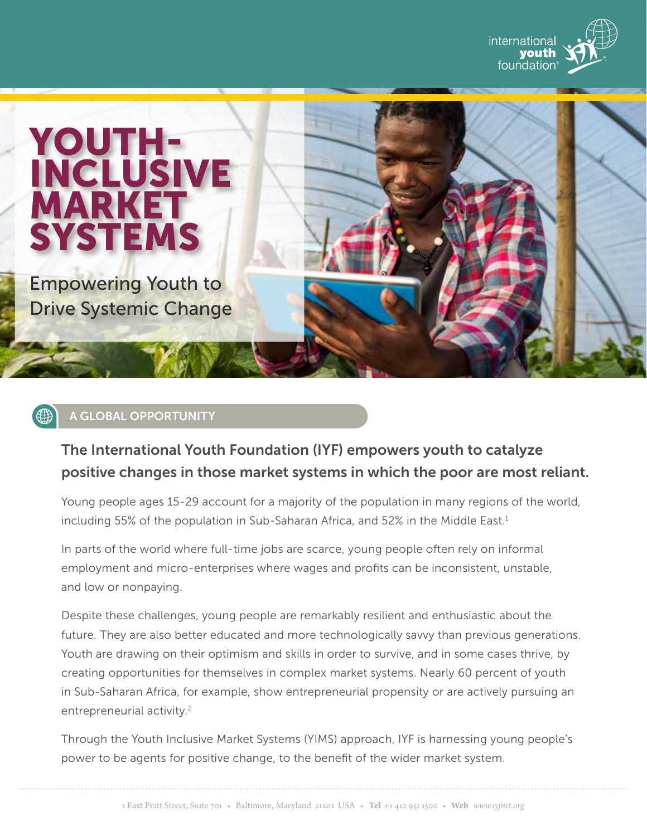





## A GLOBAL OPPORTUNITY

# The International Youth Foundation (IYF) empowers youth to catalyze positive changes in those market systems in which the poor are most reliant.

Young people ages 15-29 account for a majority of the population in many regions of the world, including 55% of the population in Sub-Saharan Africa, and 52% in the Middle East.<sup>1</sup>

In parts of the world where full-time jobs are scarce, young people often rely on informal employment and micro-enterprises where wages and profits can be inconsistent, unstable, and low or nonpaying.

Despite these challenges, young people are remarkably resilient and enthusiastic about the future. They are also better educated and more technologically savvy than previous generations. Youth are drawing on their optimism and skills in order to survive, and in some cases thrive, by creating opportunities for themselves in complex market systems. Nearly 60 percent of youth in Sub-Saharan Africa, for example, show entrepreneurial propensity or are actively pursuing an entrepreneurial activity.<sup>2</sup>

Through the Youth Inclusive Market Systems (YIMS) approach, IYF is harnessing young people's power to be agents for positive change, to the benefit of the wider market system.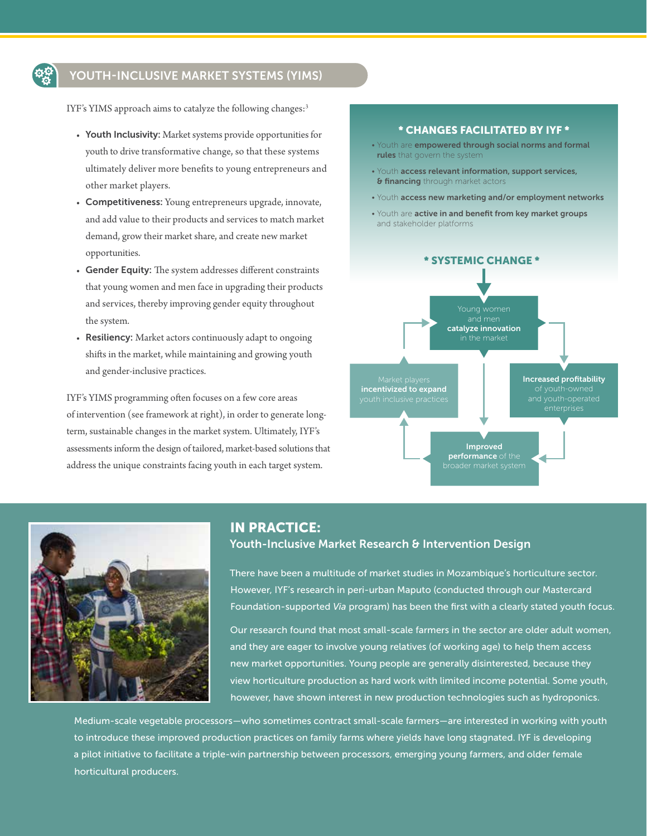## YOUTH-INCLUSIVE MARKET SYSTEMS (YIMS)

IYF's YIMS approach aims to catalyze the following changes:<sup>3</sup>

- Youth Inclusivity: Market systems provide opportunities for youth to drive transformative change, so that these systems ultimately deliver more benefits to young entrepreneurs and other market players.
- Competitiveness: Young entrepreneurs upgrade, innovate, and add value to their products and services to match market demand, grow their market share, and create new market opportunities.
- Gender Equity: The system addresses different constraints that young women and men face in upgrading their products and services, thereby improving gender equity throughout the system.
- Resiliency: Market actors continuously adapt to ongoing shifts in the market, while maintaining and growing youth and gender-inclusive practices.

IYF's YIMS programming often focuses on a few core areas of intervention (see framework at right), in order to generate longterm, sustainable changes in the market system. Ultimately, IYF's assessments inform the design of tailored, market-based solutions that address the unique constraints facing youth in each target system.

#### \* CHANGES FACILITATED BY IYF \*

- Youth are empowered through social norms and formal rules that govern the system
- Youth access relevant information, support services, **& financing** through market actors
- Youth access new marketing and/or employment networks
- Youth are active in and benefit from key market groups and stakeholder platforms





## IN PRACTICE: Youth-Inclusive Market Research & Intervention Design

There have been a multitude of market studies in Mozambique's horticulture sector. However, IYF's research in peri-urban Maputo (conducted through our Mastercard Foundation-supported *Via* program) has been the first with a clearly stated youth focus.

Our research found that most small-scale farmers in the sector are older adult women, and they are eager to involve young relatives (of working age) to help them access new market opportunities. Young people are generally disinterested, because they view horticulture production as hard work with limited income potential. Some youth, however, have shown interest in new production technologies such as hydroponics.

Medium-scale vegetable processors—who sometimes contract small-scale farmers—are interested in working with youth to introduce these improved production practices on family farms where yields have long stagnated. IYF is developing a pilot initiative to facilitate a triple-win partnership between processors, emerging young farmers, and older female horticultural producers.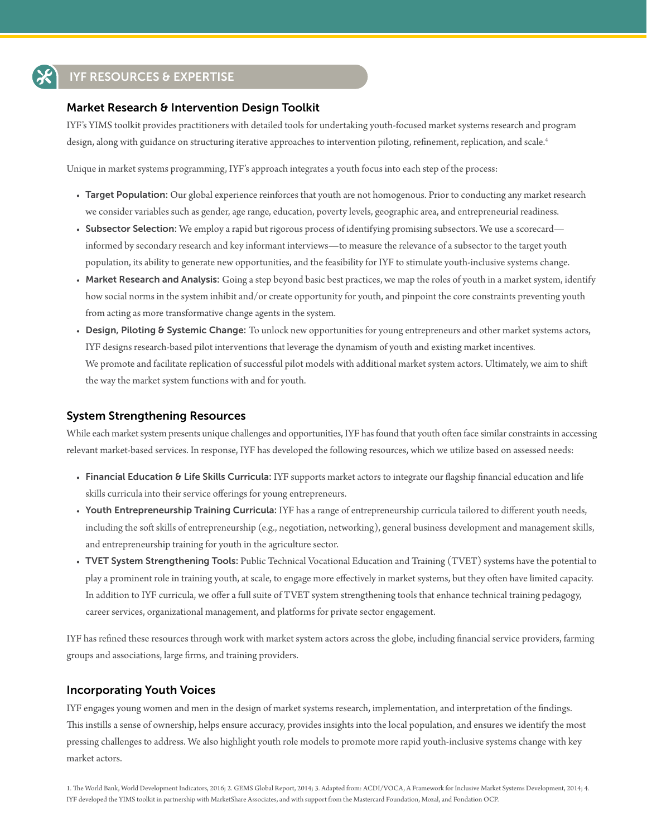# IYF RESOURCES & EXPERTISE

#### Market Research & Intervention Design Toolkit

IYF's YIMS toolkit provides practitioners with detailed tools for undertaking youth-focused market systems research and program design, along with guidance on structuring iterative approaches to intervention piloting, refinement, replication, and scale.<sup>4</sup>

Unique in market systems programming, IYF's approach integrates a youth focus into each step of the process:

- Target Population: Our global experience reinforces that youth are not homogenous. Prior to conducting any market research we consider variables such as gender, age range, education, poverty levels, geographic area, and entrepreneurial readiness.
- Subsector Selection: We employ a rapid but rigorous process of identifying promising subsectors. We use a scorecard informed by secondary research and key informant interviews—to measure the relevance of a subsector to the target youth population, its ability to generate new opportunities, and the feasibility for IYF to stimulate youth-inclusive systems change.
- Market Research and Analysis: Going a step beyond basic best practices, we map the roles of youth in a market system, identify how social norms in the system inhibit and/or create opportunity for youth, and pinpoint the core constraints preventing youth from acting as more transformative change agents in the system.
- Design, Piloting & Systemic Change: To unlock new opportunities for young entrepreneurs and other market systems actors, IYF designs research-based pilot interventions that leverage the dynamism of youth and existing market incentives. We promote and facilitate replication of successful pilot models with additional market system actors. Ultimately, we aim to shift the way the market system functions with and for youth.

### System Strengthening Resources

While each market system presents unique challenges and opportunities, IYF has found that youth often face similar constraints in accessing relevant market-based services. In response, IYF has developed the following resources, which we utilize based on assessed needs:

- Financial Education & Life Skills Curricula: IYF supports market actors to integrate our flagship financial education and life skills curricula into their service offerings for young entrepreneurs.
- Youth Entrepreneurship Training Curricula: IYF has a range of entrepreneurship curricula tailored to different youth needs, including the soft skills of entrepreneurship (e.g., negotiation, networking), general business development and management skills, and entrepreneurship training for youth in the agriculture sector.
- TVET System Strengthening Tools: Public Technical Vocational Education and Training (TVET) systems have the potential to play a prominent role in training youth, at scale, to engage more effectively in market systems, but they often have limited capacity. In addition to IYF curricula, we offer a full suite of TVET system strengthening tools that enhance technical training pedagogy, career services, organizational management, and platforms for private sector engagement.

IYF has refined these resources through work with market system actors across the globe, including financial service providers, farming groups and associations, large firms, and training providers.

#### Incorporating Youth Voices

IYF engages young women and men in the design of market systems research, implementation, and interpretation of the findings. This instills a sense of ownership, helps ensure accuracy, provides insights into the local population, and ensures we identify the most pressing challenges to address. We also highlight youth role models to promote more rapid youth-inclusive systems change with key market actors.